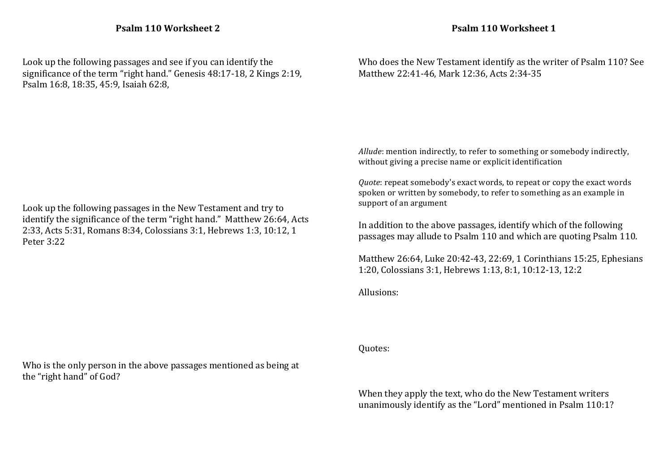Look up the following passages and see if you can identify the significance of the term "right hand." Genesis  $48:17-18$ , 2 Kings  $2:19$ , Psalm 16:8, 18:35, 45:9, Isaiah 62:8,

Look up the following passages in the New Testament and try to identify the significance of the term "right hand." Matthew 26:64, Acts 2:33, Acts 5:31, Romans 8:34, Colossians 3:1, Hebrews 1:3, 10:12, 1 Peter 3:22

Who is the only person in the above passages mentioned as being at the "right hand" of God?

Who does the New Testament identify as the writer of Psalm 110? See Matthew 22:41-46, Mark 12:36, Acts 2:34-35

*Allude*: mention indirectly, to refer to something or somebody indirectly, without giving a precise name or explicit identification

*Quote*: repeat somebody's exact words, to repeat or copy the exact words spoken or written by somebody, to refer to something as an example in support of an argument

In addition to the above passages, identify which of the following passages may allude to Psalm 110 and which are quoting Psalm 110.

Matthew 26:64, Luke 20:42-43, 22:69, 1 Corinthians 15:25, Ephesians 1:20, Colossians 3:1, Hebrews 1:13, 8:1, 10:12-13, 12:2

Allusions:

Quotes:

When they apply the text, who do the New Testament writers unanimously identify as the "Lord" mentioned in Psalm 110:1?